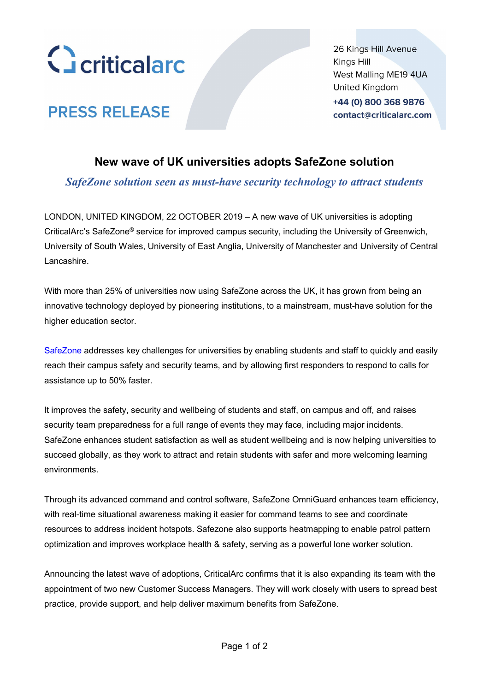

**PRESS RELEASE** 

26 Kings Hill Avenue Kings Hill West Malling ME19 4UA United Kingdom +44 (0) 800 368 9876

contact@criticalarc.com

# **New wave of UK universities adopts SafeZone solution**

*SafeZone solution seen as must-have security technology to attract students*

LONDON, UNITED KINGDOM, 22 OCTOBER 2019 – A new wave of UK universities is adopting CriticalArc's SafeZone® service for improved campus security, including the University of Greenwich, University of South Wales, University of East Anglia, University of Manchester and University of Central Lancashire.

With more than 25% of universities now using SafeZone across the UK, it has grown from being an innovative technology deployed by pioneering institutions, to a mainstream, must-have solution for the higher education sector.

[SafeZone](https://www.criticalarc.com/safezone-solution/) addresses key challenges for universities by enabling students and staff to quickly and easily reach their campus safety and security teams, and by allowing first responders to respond to calls for assistance up to 50% faster.

It improves the safety, security and wellbeing of students and staff, on campus and off, and raises security team preparedness for a full range of events they may face, including major incidents. SafeZone enhances student satisfaction as well as student wellbeing and is now helping universities to succeed globally, as they work to attract and retain students with safer and more welcoming learning environments.

Through its advanced command and control software, SafeZone OmniGuard enhances team efficiency, with real-time situational awareness making it easier for command teams to see and coordinate resources to address incident hotspots. Safezone also supports heatmapping to enable patrol pattern optimization and improves workplace health & safety, serving as a powerful lone worker solution.

Announcing the latest wave of adoptions, CriticalArc confirms that it is also expanding its team with the appointment of two new Customer Success Managers. They will work closely with users to spread best practice, provide support, and help deliver maximum benefits from SafeZone.